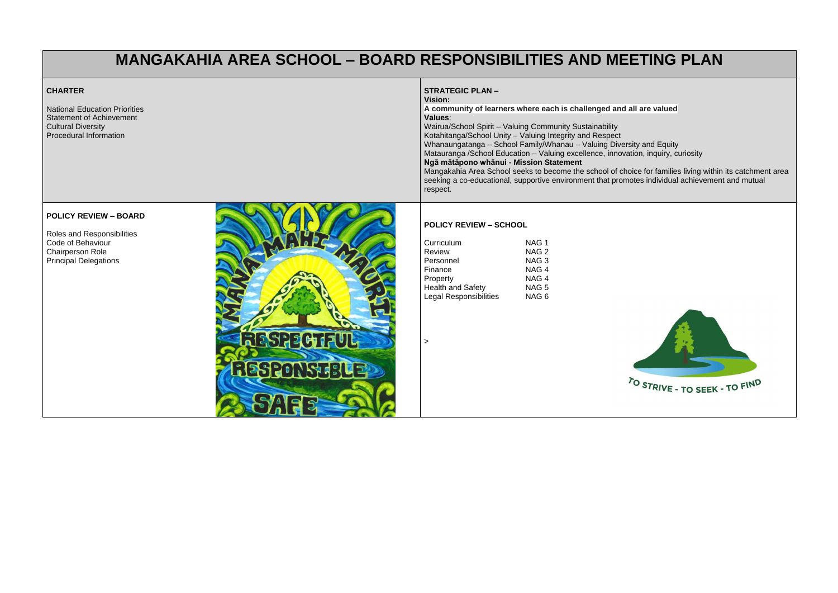# **MANGAKAHIA AREA SCHOOL – BOARD RESPONSIBILITIES AND MEETING PLAN**

#### **CHARTER** National Education Priorities Statement of Achievement Cultural Diversity Procedural Information **STRATEGIC PLAN – Vision: A community of learners where each is challenged and all are valued Values**: Wairua/School Spirit – Valuing Community Sustainability Kotahitanga/School Unity – Valuing Integrity and Respect Whanaungarasheer Shiry Traiding Integrity and Treepeer<br>Whanaungatanga – School Family/Whanau – Valuing Diversity and Equity Matauranga /School Education – Valuing excellence, innovation, inquiry, curiosity **Ngā mātāpono whānui - Mission Statement** Mangakahia Area School seeks to become the school of choice for families living within its catchment area seeking a co-educational, supportive environment that promotes individual achievement and mutual respect. **POLICY REVIEW – SCHOOL** Curriculum NAG 1<br>Review NAG 2 Review Personnel NAG 3 Finance NAG 4 Property NAG 4 Health and Safety **NAG 5**

### **POLICY REVIEW – BOARD**

Roles and Responsibilities Code of Behaviour Chairperson Role Principal Delegations



|                               | '''' ~           |
|-------------------------------|------------------|
| Personnel                     | NAG <sub>3</sub> |
| Finance                       | NAG <sub>4</sub> |
| Property                      | NAG <sub>4</sub> |
| <b>Health and Safety</b>      | NAG <sub>5</sub> |
| <b>Legal Responsibilities</b> | NAG <sub>6</sub> |
|                               |                  |
|                               |                  |
|                               |                  |
|                               |                  |
|                               |                  |
|                               |                  |
|                               |                  |
|                               |                  |
|                               |                  |
|                               |                  |
|                               |                  |
|                               |                  |



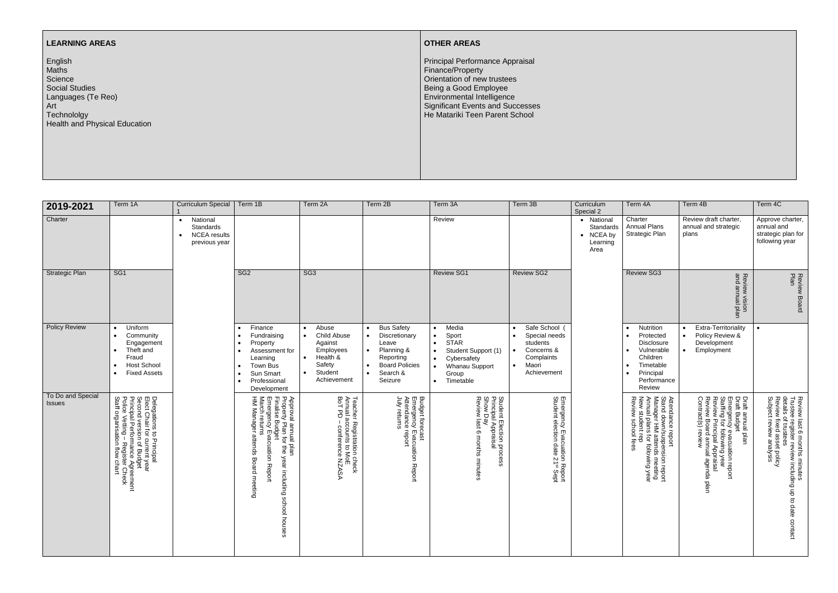## **LEARNING AREAS**

English Maths Science Social Studies Languages (Te Reo) Art **Technololgy** Health and Physical Education

## **OTHER AREAS**

Principal Performance Appraisal Finance/Property Orientation of new trustees Being a Good Employee Environmental Intelligence Significant Events and Successes He Matariki Teen Parent School

| 2019-2021                          | Term 1A                                                                                                                                                                                     | <b>Curriculum Special</b>                                                  | Term 1B                                                                                                                                                                                                                           | Term 2A                                                                                                                                                 | Term 2B                                                                                                                | Term 3A                                                                                                                                                                                                | Term 3B                                                                                                     | Curriculum<br>Special 2                                  | Term 4A                                                                                                                                                                             | Term 4B                                                                                                                                                                                     | Term 4C                                                                                                                                                                                  |
|------------------------------------|---------------------------------------------------------------------------------------------------------------------------------------------------------------------------------------------|----------------------------------------------------------------------------|-----------------------------------------------------------------------------------------------------------------------------------------------------------------------------------------------------------------------------------|---------------------------------------------------------------------------------------------------------------------------------------------------------|------------------------------------------------------------------------------------------------------------------------|--------------------------------------------------------------------------------------------------------------------------------------------------------------------------------------------------------|-------------------------------------------------------------------------------------------------------------|----------------------------------------------------------|-------------------------------------------------------------------------------------------------------------------------------------------------------------------------------------|---------------------------------------------------------------------------------------------------------------------------------------------------------------------------------------------|------------------------------------------------------------------------------------------------------------------------------------------------------------------------------------------|
| Charter                            |                                                                                                                                                                                             | National<br>$\bullet$<br>Standards<br><b>NCEA</b> results<br>previous year |                                                                                                                                                                                                                                   |                                                                                                                                                         |                                                                                                                        | Review                                                                                                                                                                                                 |                                                                                                             | • National<br>Standards<br>• NCEA by<br>Learning<br>Area | Charter<br><b>Annual Plans</b><br>Strategic Plan                                                                                                                                    | Review draft charter,<br>annual and strategic<br>plans                                                                                                                                      | Approve charter,<br>annual and<br>strategic plan for<br>following year                                                                                                                   |
| <b>Strategic Plan</b>              | SG <sub>1</sub>                                                                                                                                                                             |                                                                            | SG <sub>2</sub>                                                                                                                                                                                                                   | SG <sub>3</sub>                                                                                                                                         |                                                                                                                        | <b>Review SG1</b>                                                                                                                                                                                      | <b>Review SG2</b>                                                                                           |                                                          | <b>Review SG3</b>                                                                                                                                                                   | Review vision<br>and annual plan                                                                                                                                                            | Review Board<br>Plan                                                                                                                                                                     |
| <b>Policy Review</b>               | Uniform<br>$\bullet$<br>Community<br>$\bullet$<br>Engagement<br>Theft and<br>Fraud<br><b>Host School</b><br><b>Fixed Assets</b>                                                             |                                                                            | Finance<br>$\bullet$<br>Fundraising<br>$\bullet$<br>Property<br>Assessment for<br>Learning<br>Town Bus<br>Sun Smart<br>Professional<br>Development                                                                                | Abuse<br>$\bullet$<br><b>Child Abuse</b><br>$\bullet$<br>Against<br>Employees<br>Health &<br>$\bullet$<br>Safety<br>Student<br>$\bullet$<br>Achievement | <b>Bus Safety</b><br>Discretionary<br>Leave<br>Planning &<br>Reporting<br><b>Board Policies</b><br>Search &<br>Seizure | Media<br>$\bullet$<br>Sport<br>$\bullet$<br><b>STAR</b><br>$\bullet$<br>Student Support (1)<br>$\bullet$<br>Cybersafety<br>$\bullet$<br>Whanau Support<br>$\bullet$<br>Group<br>Timetable<br>$\bullet$ | Safe School (<br>Special needs<br>students<br>Concerns &<br>Complaints<br>Maori<br>$\bullet$<br>Achievement |                                                          | <b>Nutrition</b><br>$\bullet$<br>Protected<br>$\bullet$<br><b>Disclosure</b><br>Vulnerable<br>$\bullet$<br>Children<br>Timetable<br>$\bullet$<br>Principal<br>Performance<br>Review | Extra-Territoriality<br>Policy Review &<br>$\bullet$<br>Development<br>Employment                                                                                                           |                                                                                                                                                                                          |
| To Do and Special<br><b>Issues</b> | Delegations to Principal<br>Elect Chair for current year<br>Second version of Budget<br>Principal Performance Agreement<br>Police Vetting – Register Check<br>Staff organisation flow chart |                                                                            | Approval annual plan<br>Property Plan for the yea<br>Finalise Budget<br>Emergency Evacuation F<br>March returns<br>HM Manager attends Bo<br>Manager attends<br>the year including school houses<br><b>Board meeting</b><br>Report | Teacher Registration check<br>Annual accounts to MoE<br>BoT PD – conference NZAS<br><b>ASASN</b>                                                        | Budget forecast<br>Emergency Evacuation I<br>Attendance report<br>July returns<br>Report                               | Student Election process<br>Principal Appraisal<br>Show Day<br>Review last 6 months minutes                                                                                                            | Emergency Evacuation Report<br>Student election date 21 <sup>st</sup> Sept                                  |                                                          | Attendance report<br>Stand down/suspension report<br>Manager HM attends meeting<br>Annual plans for following year<br>New student rep<br>Review school fees                         | Draft annual plan<br>Draft Budget<br>Emergency evacuation report<br>Staffing for following year<br>Review Principal Appraisal<br>Review Board annual agenda p<br>Contract(s) review<br>plan | Review last 6 months minutes<br>Trustee register review including up to<br>details of trustees<br>Review fixed asset policy<br>Subject review analysis<br>$\overline{5}$<br>date contact |